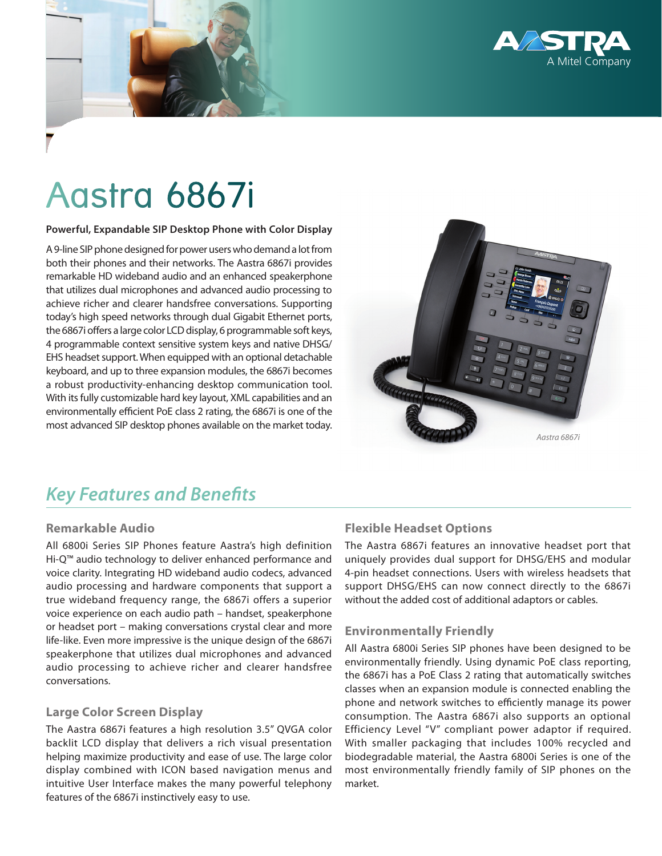

# Aastra 6867i

#### **Powerful, Expandable SIP Desktop Phone with Color Display**

A 9-line SIP phone designed for power users who demand a lot from both their phones and their networks. The Aastra 6867i provides remarkable HD wideband audio and an enhanced speakerphone that utilizes dual microphones and advanced audio processing to achieve richer and clearer handsfree conversations. Supporting today's high speed networks through dual Gigabit Ethernet ports, the 6867i offers a large color LCD display, 6 programmable soft keys, 4 programmable context sensitive system keys and native DHSG/ EHS headset support. When equipped with an optional detachable keyboard, and up to three expansion modules, the 6867i becomes a robust productivity-enhancing desktop communication tool. With its fully customizable hard key layout, XML capabilities and an environmentally efficient PoE class 2 rating, the 6867i is one of the most advanced SIP desktop phones available on the market today.



# *Key Features and Benefits*

# **Remarkable Audio**

All 6800i Series SIP Phones feature Aastra's high definition Hi-Q™ audio technology to deliver enhanced performance and voice clarity. Integrating HD wideband audio codecs, advanced audio processing and hardware components that support a true wideband frequency range, the 6867i offers a superior voice experience on each audio path – handset, speakerphone or headset port – making conversations crystal clear and more life-like. Even more impressive is the unique design of the 6867i speakerphone that utilizes dual microphones and advanced audio processing to achieve richer and clearer handsfree conversations.

# **Large Color Screen Display**

The Aastra 6867i features a high resolution 3.5" QVGA color backlit LCD display that delivers a rich visual presentation helping maximize productivity and ease of use. The large color display combined with ICON based navigation menus and intuitive User Interface makes the many powerful telephony features of the 6867i instinctively easy to use.

# **Flexible Headset Options**

The Aastra 6867i features an innovative headset port that uniquely provides dual support for DHSG/EHS and modular 4-pin headset connections. Users with wireless headsets that support DHSG/EHS can now connect directly to the 6867i without the added cost of additional adaptors or cables.

# **Environmentally Friendly**

All Aastra 6800i Series SIP phones have been designed to be environmentally friendly. Using dynamic PoE class reporting, the 6867i has a PoE Class 2 rating that automatically switches classes when an expansion module is connected enabling the phone and network switches to efficiently manage its power consumption. The Aastra 6867i also supports an optional Efficiency Level "V" compliant power adaptor if required. With smaller packaging that includes 100% recycled and biodegradable material, the Aastra 6800i Series is one of the most environmentally friendly family of SIP phones on the market.